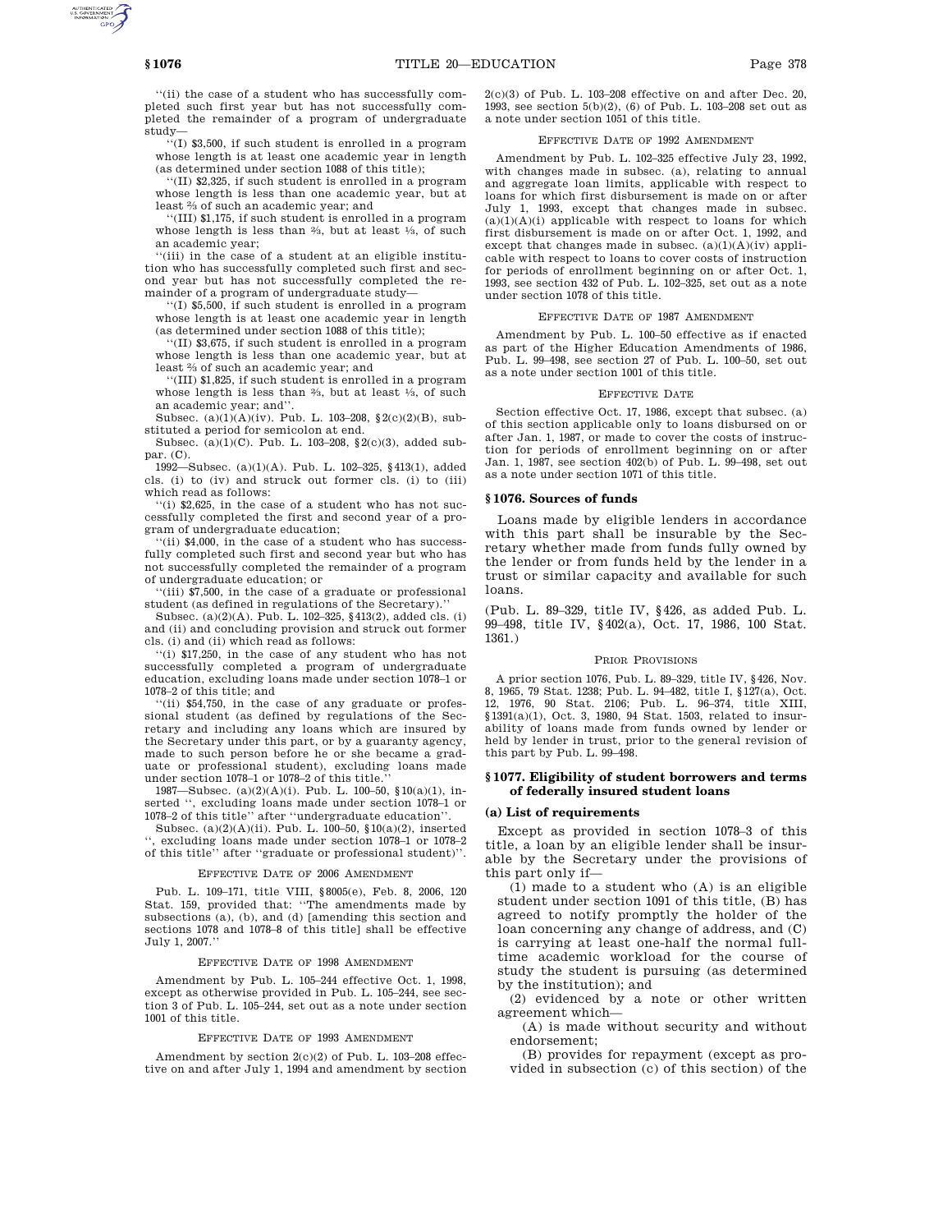''(ii) the case of a student who has successfully completed such first year but has not successfully completed the remainder of a program of undergraduate study—

''(I) \$3,500, if such student is enrolled in a program whose length is at least one academic year in length (as determined under section 1088 of this title);

''(II) \$2,325, if such student is enrolled in a program whose length is less than one academic year, but at least 2 ⁄3 of such an academic year; and

''(III) \$1,175, if such student is enrolled in a program whose length is less than  $\frac{2}{3}$ , but at least  $\frac{1}{3}$ , of such an academic year;

'(iii) in the case of a student at an eligible institution who has successfully completed such first and second year but has not successfully completed the remainder of a program of undergraduate study—

''(I) \$5,500, if such student is enrolled in a program whose length is at least one academic year in length (as determined under section 1088 of this title);

''(II) \$3,675, if such student is enrolled in a program whose length is less than one academic year, but at least 2 ⁄3 of such an academic year; and

''(III) \$1,825, if such student is enrolled in a program whose length is less than  $\frac{2}{3}$ , but at least  $\frac{1}{3}$ , of such an academic year; and''.

Subsec. (a)(1)(A)(iv). Pub. L. 103–208, §2(c)(2)(B), substituted a period for semicolon at end.

Subsec. (a)(1)(C). Pub. L. 103–208, §2(c)(3), added subpar. (C).

1992—Subsec. (a)(1)(A). Pub. L. 102–325, §413(1), added cls. (i) to (iv) and struck out former cls. (i) to (iii) which read as follows:

''(i) \$2,625, in the case of a student who has not successfully completed the first and second year of a program of undergraduate education;

''(ii) \$4,000, in the case of a student who has successfully completed such first and second year but who has not successfully completed the remainder of a program of undergraduate education; or

(iii) \$7,500, in the case of a graduate or professional student (as defined in regulations of the Secretary).

Subsec. (a)(2)(A). Pub. L. 102–325, §413(2), added cls. (i) and (ii) and concluding provision and struck out former cls. (i) and (ii) which read as follows:

''(i) \$17,250, in the case of any student who has not successfully completed a program of undergraduate education, excluding loans made under section 1078–1 or 1078–2 of this title; and

''(ii) \$54,750, in the case of any graduate or professional student (as defined by regulations of the Secretary and including any loans which are insured by the Secretary under this part, or by a guaranty agency, made to such person before he or she became a graduate or professional student), excluding loans made under section 1078–1 or 1078–2 of this title.

1987—Subsec. (a)(2)(A)(i). Pub. L. 100–50, §10(a)(1), inserted '', excluding loans made under section 1078–1 or 1078–2 of this title'' after ''undergraduate education''.

Subsec. (a)(2)(A)(ii). Pub. L. 100–50, §10(a)(2), inserted '', excluding loans made under section 1078–1 or 1078–2 of this title'' after ''graduate or professional student)''.

## EFFECTIVE DATE OF 2006 AMENDMENT

Pub. L. 109–171, title VIII, §8005(e), Feb. 8, 2006, 120 Stat. 159, provided that: ''The amendments made by subsections (a), (b), and (d) [amending this section and sections 1078 and 1078–8 of this title] shall be effective July 1, 2007.''

#### EFFECTIVE DATE OF 1998 AMENDMENT

Amendment by Pub. L. 105–244 effective Oct. 1, 1998, except as otherwise provided in Pub. L. 105–244, see section 3 of Pub. L. 105–244, set out as a note under section 1001 of this title.

#### EFFECTIVE DATE OF 1993 AMENDMENT

Amendment by section 2(c)(2) of Pub. L. 103–208 effective on and after July 1, 1994 and amendment by section  $2(c)(3)$  of Pub. L. 103-208 effective on and after Dec. 20, 1993, see section 5(b)(2), (6) of Pub. L. 103–208 set out as a note under section 1051 of this title.

### EFFECTIVE DATE OF 1992 AMENDMENT

Amendment by Pub. L. 102–325 effective July 23, 1992, with changes made in subsec. (a), relating to annual and aggregate loan limits, applicable with respect to loans for which first disbursement is made on or after July 1, 1993, except that changes made in subsec.  $(a)(1)(A)(i)$  applicable with respect to loans for which first disbursement is made on or after Oct. 1, 1992, and except that changes made in subsec.  $(a)(1)(A)(iv)$  applicable with respect to loans to cover costs of instruction for periods of enrollment beginning on or after Oct. 1, 1993, see section 432 of Pub. L. 102–325, set out as a note under section 1078 of this title.

## EFFECTIVE DATE OF 1987 AMENDMENT

Amendment by Pub. L. 100–50 effective as if enacted as part of the Higher Education Amendments of 1986, Pub. L. 99–498, see section 27 of Pub. L. 100–50, set out as a note under section 1001 of this title.

## EFFECTIVE DATE

Section effective Oct. 17, 1986, except that subsec. (a) of this section applicable only to loans disbursed on or after Jan. 1, 1987, or made to cover the costs of instruction for periods of enrollment beginning on or after Jan. 1, 1987, see section 402(b) of Pub. L. 99–498, set out as a note under section 1071 of this title.

#### **§ 1076. Sources of funds**

Loans made by eligible lenders in accordance with this part shall be insurable by the Secretary whether made from funds fully owned by the lender or from funds held by the lender in a trust or similar capacity and available for such loans.

(Pub. L. 89–329, title IV, §426, as added Pub. L. 99–498, title IV, §402(a), Oct. 17, 1986, 100 Stat. 1361.)

## PRIOR PROVISIONS

A prior section 1076, Pub. L. 89–329, title IV, §426, Nov. 8, 1965, 79 Stat. 1238; Pub. L. 94–482, title I, §127(a), Oct. 12, 1976, 90 Stat. 2106; Pub. L. 96–374, title XIII, §1391(a)(1), Oct. 3, 1980, 94 Stat. 1503, related to insurability of loans made from funds owned by lender or held by lender in trust, prior to the general revision of this part by Pub. L. 99–498.

# **§ 1077. Eligibility of student borrowers and terms of federally insured student loans**

## **(a) List of requirements**

Except as provided in section 1078–3 of this title, a loan by an eligible lender shall be insurable by the Secretary under the provisions of this part only if—

(1) made to a student who (A) is an eligible student under section 1091 of this title, (B) has agreed to notify promptly the holder of the loan concerning any change of address, and (C) is carrying at least one-half the normal fulltime academic workload for the course of study the student is pursuing (as determined by the institution); and

(2) evidenced by a note or other written agreement which—

(A) is made without security and without endorsement;

(B) provides for repayment (except as provided in subsection (c) of this section) of the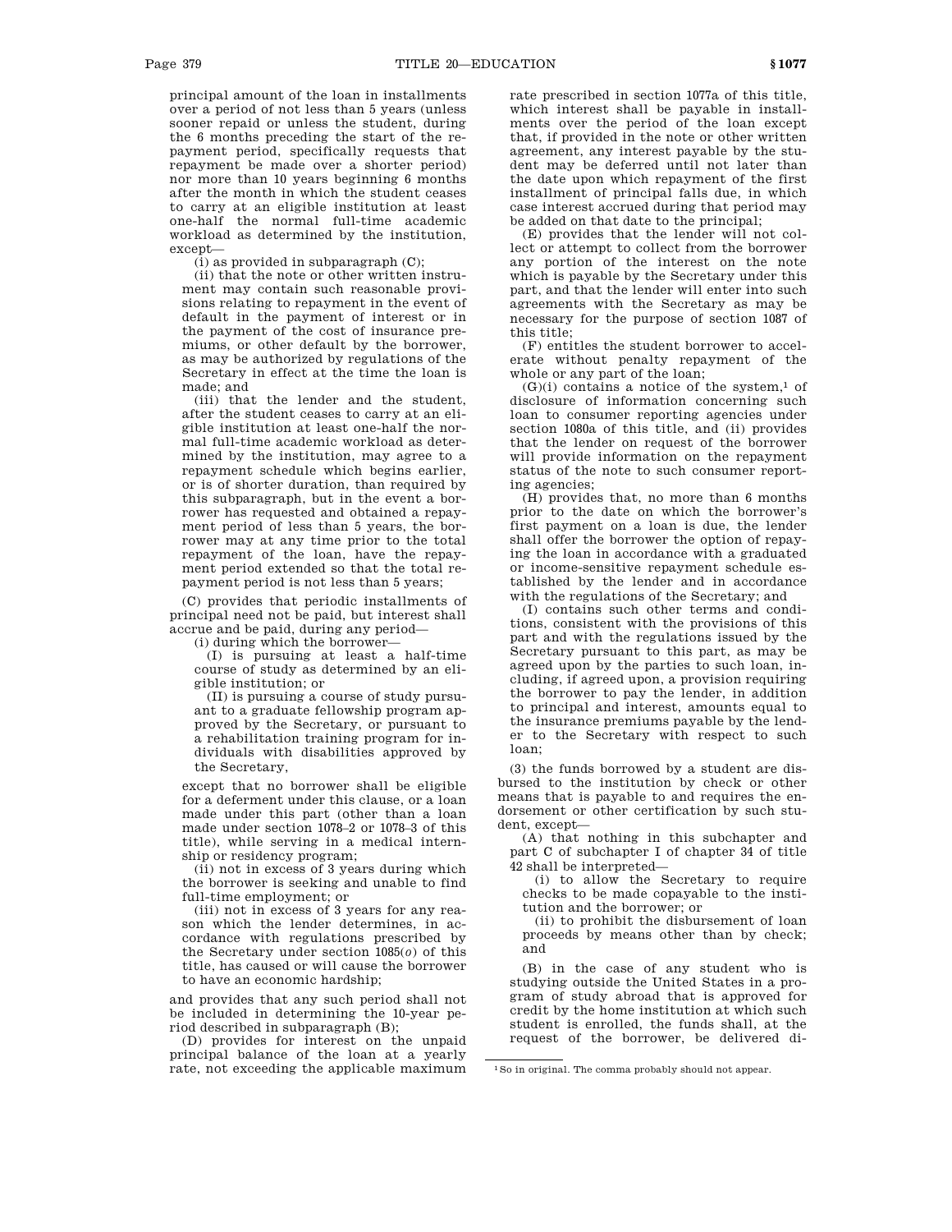principal amount of the loan in installments over a period of not less than 5 years (unless sooner repaid or unless the student, during the 6 months preceding the start of the repayment period, specifically requests that repayment be made over a shorter period) nor more than 10 years beginning 6 months after the month in which the student ceases to carry at an eligible institution at least one-half the normal full-time academic workload as determined by the institution, except—

 $(i)$  as provided in subparagraph  $(C)$ ;

(ii) that the note or other written instrument may contain such reasonable provisions relating to repayment in the event of default in the payment of interest or in the payment of the cost of insurance premiums, or other default by the borrower, as may be authorized by regulations of the Secretary in effect at the time the loan is made; and

(iii) that the lender and the student, after the student ceases to carry at an eligible institution at least one-half the normal full-time academic workload as determined by the institution, may agree to a repayment schedule which begins earlier, or is of shorter duration, than required by this subparagraph, but in the event a borrower has requested and obtained a repayment period of less than 5 years, the borrower may at any time prior to the total repayment of the loan, have the repayment period extended so that the total repayment period is not less than 5 years;

(C) provides that periodic installments of principal need not be paid, but interest shall accrue and be paid, during any period—

(i) during which the borrower—

(I) is pursuing at least a half-time course of study as determined by an eligible institution; or

(II) is pursuing a course of study pursuant to a graduate fellowship program approved by the Secretary, or pursuant to a rehabilitation training program for individuals with disabilities approved by the Secretary,

except that no borrower shall be eligible for a deferment under this clause, or a loan made under this part (other than a loan made under section 1078–2 or 1078–3 of this title), while serving in a medical internship or residency program;

(ii) not in excess of 3 years during which the borrower is seeking and unable to find full-time employment; or

(iii) not in excess of 3 years for any reason which the lender determines, in accordance with regulations prescribed by the Secretary under section 1085(*o*) of this title, has caused or will cause the borrower to have an economic hardship;

and provides that any such period shall not be included in determining the 10-year period described in subparagraph (B);

(D) provides for interest on the unpaid principal balance of the loan at a yearly rate, not exceeding the applicable maximum rate prescribed in section 1077a of this title, which interest shall be payable in installments over the period of the loan except that, if provided in the note or other written agreement, any interest payable by the student may be deferred until not later than the date upon which repayment of the first installment of principal falls due, in which case interest accrued during that period may be added on that date to the principal;

(E) provides that the lender will not collect or attempt to collect from the borrower any portion of the interest on the note which is payable by the Secretary under this part, and that the lender will enter into such agreements with the Secretary as may be necessary for the purpose of section 1087 of this title;

(F) entitles the student borrower to accelerate without penalty repayment of the whole or any part of the loan;

 $(G)(i)$  contains a notice of the system,<sup>1</sup> of disclosure of information concerning such loan to consumer reporting agencies under section 1080a of this title, and (ii) provides that the lender on request of the borrower will provide information on the repayment status of the note to such consumer reporting agencies;

(H) provides that, no more than 6 months prior to the date on which the borrower's first payment on a loan is due, the lender shall offer the borrower the option of repaying the loan in accordance with a graduated or income-sensitive repayment schedule established by the lender and in accordance with the regulations of the Secretary; and

(I) contains such other terms and conditions, consistent with the provisions of this part and with the regulations issued by the Secretary pursuant to this part, as may be agreed upon by the parties to such loan, including, if agreed upon, a provision requiring the borrower to pay the lender, in addition to principal and interest, amounts equal to the insurance premiums payable by the lender to the Secretary with respect to such loan;

(3) the funds borrowed by a student are disbursed to the institution by check or other means that is payable to and requires the endorsement or other certification by such student, except—

(A) that nothing in this subchapter and part C of subchapter I of chapter 34 of title 42 shall be interpreted—

(i) to allow the Secretary to require checks to be made copayable to the institution and the borrower; or

(ii) to prohibit the disbursement of loan proceeds by means other than by check; and

(B) in the case of any student who is studying outside the United States in a program of study abroad that is approved for credit by the home institution at which such student is enrolled, the funds shall, at the request of the borrower, be delivered di-

<sup>1</sup>So in original. The comma probably should not appear.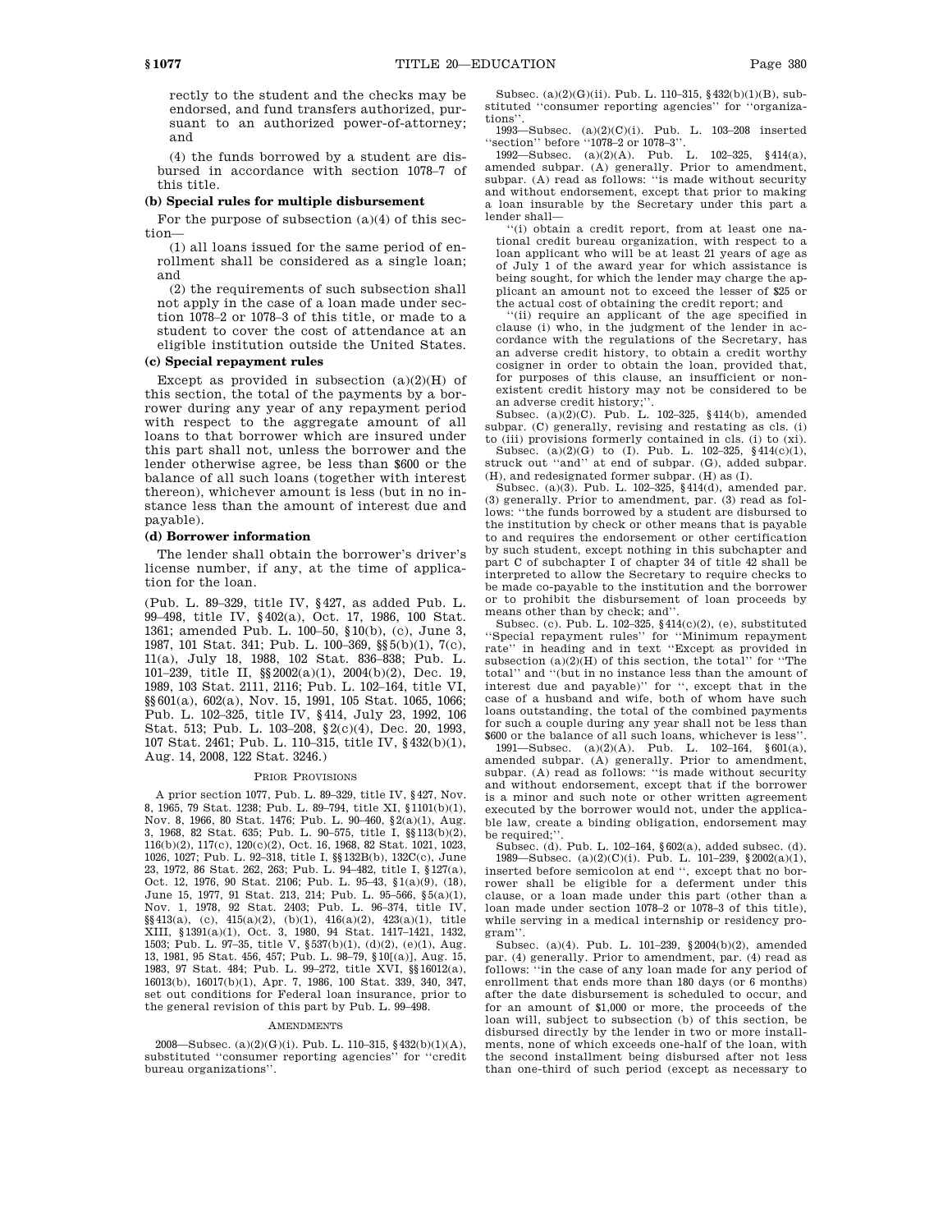rectly to the student and the checks may be endorsed, and fund transfers authorized, pursuant to an authorized power-of-attorney; and

(4) the funds borrowed by a student are disbursed in accordance with section 1078–7 of this title.

### **(b) Special rules for multiple disbursement**

For the purpose of subsection  $(a)(4)$  of this section—

(1) all loans issued for the same period of enrollment shall be considered as a single loan; and

(2) the requirements of such subsection shall not apply in the case of a loan made under section 1078–2 or 1078–3 of this title, or made to a student to cover the cost of attendance at an eligible institution outside the United States.

# **(c) Special repayment rules**

Except as provided in subsection  $(a)(2)(H)$  of this section, the total of the payments by a borrower during any year of any repayment period with respect to the aggregate amount of all loans to that borrower which are insured under this part shall not, unless the borrower and the lender otherwise agree, be less than \$600 or the balance of all such loans (together with interest thereon), whichever amount is less (but in no instance less than the amount of interest due and payable).

### **(d) Borrower information**

The lender shall obtain the borrower's driver's license number, if any, at the time of application for the loan.

(Pub. L. 89–329, title IV, §427, as added Pub. L. 99–498, title IV, §402(a), Oct. 17, 1986, 100 Stat. 1361; amended Pub. L. 100–50, §10(b), (c), June 3, 1987, 101 Stat. 341; Pub. L. 100–369, §§5(b)(1), 7(c), 11(a), July 18, 1988, 102 Stat. 836–838; Pub. L. 101–239, title II, §§2002(a)(1), 2004(b)(2), Dec. 19, 1989, 103 Stat. 2111, 2116; Pub. L. 102–164, title VI, §§601(a), 602(a), Nov. 15, 1991, 105 Stat. 1065, 1066; Pub. L. 102–325, title IV, §414, July 23, 1992, 106 Stat. 513; Pub. L. 103–208, §2(c)(4), Dec. 20, 1993, 107 Stat. 2461; Pub. L. 110–315, title IV, §432(b)(1), Aug. 14, 2008, 122 Stat. 3246.)

## PRIOR PROVISIONS

A prior section 1077, Pub. L. 89–329, title IV, §427, Nov. 8, 1965, 79 Stat. 1238; Pub. L. 89–794, title XI, §1101(b)(1), Nov. 8, 1966, 80 Stat. 1476; Pub. L. 90–460, §2(a)(1), Aug. 3, 1968, 82 Stat. 635; Pub. L. 90–575, title I, §§113(b)(2), 116(b)(2), 117(c), 120(c)(2), Oct. 16, 1968, 82 Stat. 1021, 1023, 1026, 1027; Pub. L. 92–318, title I, §§132B(b), 132C(c), June 23, 1972, 86 Stat. 262, 263; Pub. L. 94–482, title I, §127(a), Oct. 12, 1976, 90 Stat. 2106; Pub. L. 95–43, §1(a)(9), (18), June 15, 1977, 91 Stat. 213, 214; Pub. L. 95–566, §5(a)(1), Nov. 1, 1978, 92 Stat. 2403; Pub. L. 96–374, title IV, §§413(a), (c), 415(a)(2), (b)(1), 416(a)(2), 423(a)(1), title XIII, §1391(a)(1), Oct. 3, 1980, 94 Stat. 1417–1421, 1432, 1503; Pub. L. 97–35, title V, §537(b)(1), (d)(2), (e)(1), Aug. 13, 1981, 95 Stat. 456, 457; Pub. L. 98–79, §10[(a)], Aug. 15, 1983, 97 Stat. 484; Pub. L. 99–272, title XVI, §§16012(a), 16013(b), 16017(b)(1), Apr. 7, 1986, 100 Stat. 339, 340, 347, set out conditions for Federal loan insurance, prior to the general revision of this part by Pub. L. 99–498.

#### AMENDMENTS

2008—Subsec. (a)(2)(G)(i). Pub. L. 110–315, §432(b)(1)(A), substituted ''consumer reporting agencies'' for ''credit bureau organizations''.

Subsec. (a)(2)(G)(ii). Pub. L. 110–315, §432(b)(1)(B), substituted ''consumer reporting agencies'' for ''organizations''.

1993—Subsec. (a)(2)(C)(i). Pub. L. 103–208 inserted ''section'' before ''1078–2 or 1078–3''.

1992—Subsec. (a)(2)(A). Pub. L. 102–325, §414(a), amended subpar. (A) generally. Prior to amendment, subpar. (A) read as follows: ''is made without security and without endorsement, except that prior to making a loan insurable by the Secretary under this part a lender shall—

''(i) obtain a credit report, from at least one national credit bureau organization, with respect to a loan applicant who will be at least 21 years of age as of July 1 of the award year for which assistance is being sought, for which the lender may charge the applicant an amount not to exceed the lesser of \$25 or the actual cost of obtaining the credit report; and

''(ii) require an applicant of the age specified in clause (i) who, in the judgment of the lender in accordance with the regulations of the Secretary, has an adverse credit history, to obtain a credit worthy cosigner in order to obtain the loan, provided that, for purposes of this clause, an insufficient or nonexistent credit history may not be considered to be an adverse credit history;'

Subsec. (a) $(2)(C)$ . Pub. L. 102–325, §414(b), amended subpar. (C) generally, revising and restating as cls. (i) to (iii) provisions formerly contained in cls. (i) to (xi).

Subsec. (a)(2)(G) to (I). Pub. L. 102–325, §414(c)(1), struck out ''and'' at end of subpar. (G), added subpar. (H), and redesignated former subpar. (H) as (I).

Subsec. (a)(3). Pub. L. 102–325, §414(d), amended par. (3) generally. Prior to amendment, par. (3) read as follows: ''the funds borrowed by a student are disbursed to the institution by check or other means that is payable to and requires the endorsement or other certification by such student, except nothing in this subchapter and part C of subchapter I of chapter 34 of title 42 shall be interpreted to allow the Secretary to require checks to be made co-payable to the institution and the borrower or to prohibit the disbursement of loan proceeds by means other than by check; and''.

Subsec. (c). Pub. L. 102–325, §414(c)(2), (e), substituted ''Special repayment rules'' for ''Minimum repayment rate'' in heading and in text ''Except as provided in subsection (a)(2)(H) of this section, the total'' for ''The total'' and ''(but in no instance less than the amount of interest due and payable)'' for '', except that in the case of a husband and wife, both of whom have such loans outstanding, the total of the combined payments for such a couple during any year shall not be less than \$600 or the balance of all such loans, whichever is less''.

1991—Subsec. (a)(2)(A). Pub. L. 102–164, §601(a), amended subpar. (A) generally. Prior to amendment, subpar. (A) read as follows: ''is made without security and without endorsement, except that if the borrower is a minor and such note or other written agreement executed by the borrower would not, under the applicable law, create a binding obligation, endorsement may be required:"

Subsec. (d). Pub. L. 102–164, §602(a), added subsec. (d). 1989—Subsec. (a)(2)(C)(i). Pub. L. 101–239, §2002(a)(1), inserted before semicolon at end '', except that no borrower shall be eligible for a deferment under this clause, or a loan made under this part (other than a loan made under section 1078–2 or 1078–3 of this title), while serving in a medical internship or residency program''.

Subsec. (a)(4). Pub. L. 101–239, §2004(b)(2), amended par. (4) generally. Prior to amendment, par. (4) read as follows: ''in the case of any loan made for any period of enrollment that ends more than 180 days (or 6 months) after the date disbursement is scheduled to occur, and for an amount of \$1,000 or more, the proceeds of the loan will, subject to subsection (b) of this section, be disbursed directly by the lender in two or more installments, none of which exceeds one-half of the loan, with the second installment being disbursed after not less than one-third of such period (except as necessary to